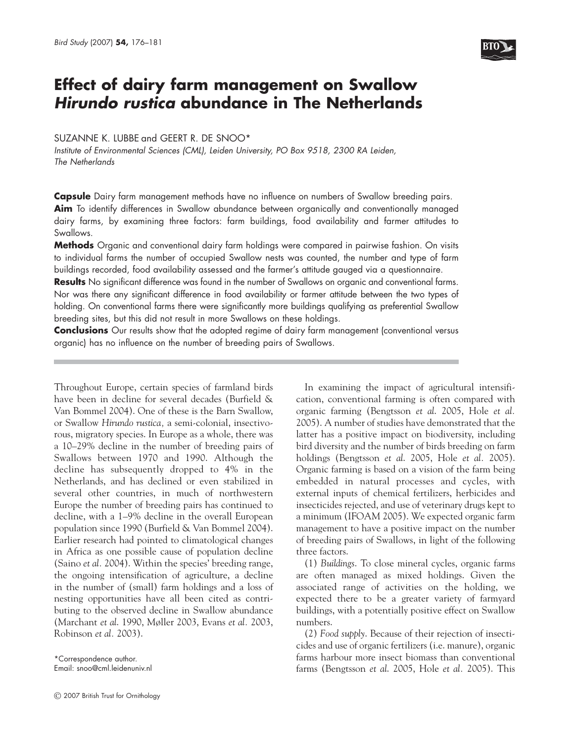

# **Effect of dairy farm management on Swallow Hirundo rustica abundance in The Netherlands**

# SUZANNE K. LUBBE and GEERT R. DE SNOO\*

Institute of Environmental Sciences (CML), Leiden University, PO Box 9518, 2300 RA Leiden, The Netherlands

**Capsule** Dairy farm management methods have no influence on numbers of Swallow breeding pairs. **Aim** To identify differences in Swallow abundance between organically and conventionally managed dairy farms, by examining three factors: farm buildings, food availability and farmer attitudes to Swallows.

**Methods** Organic and conventional dairy farm holdings were compared in pairwise fashion. On visits to individual farms the number of occupied Swallow nests was counted, the number and type of farm buildings recorded, food availability assessed and the farmer's attitude gauged via a questionnaire.

**Results** No significant difference was found in the number of Swallows on organic and conventional farms. Nor was there any significant difference in food availability or farmer attitude between the two types of holding. On conventional farms there were significantly more buildings qualifying as preferential Swallow breeding sites, but this did not result in more Swallows on these holdings.

**Conclusions** Our results show that the adopted regime of dairy farm management (conventional versus organic) has no influence on the number of breeding pairs of Swallows.

Throughout Europe, certain species of farmland birds have been in decline for several decades (Burfield & Van Bommel 2004). One of these is the Barn Swallow, or Swallow *Hirundo rustica,* a semi-colonial, insectivorous, migratory species. In Europe as a whole, there was a 10–29% decline in the number of breeding pairs of Swallows between 1970 and 1990. Although the decline has subsequently dropped to 4% in the Netherlands, and has declined or even stabilized in several other countries, in much of northwestern Europe the number of breeding pairs has continued to decline, with a 1–9% decline in the overall European population since 1990 (Burfield & Van Bommel 2004). Earlier research had pointed to climatological changes in Africa as one possible cause of population decline (Saino *et al.* 2004). Within the species' breeding range, the ongoing intensification of agriculture, a decline in the number of (small) farm holdings and a loss of nesting opportunities have all been cited as contributing to the observed decline in Swallow abundance (Marchant *et al*. 1990, Møller 2003, Evans *et al.* 2003, Robinson *et al.* 2003).

\*Correspondence author. Email: snoo@cml.leidenuniv.nl

In examining the impact of agricultural intensification, conventional farming is often compared with organic farming (Bengtsson *et al*. 2005, Hole *et al.* 2005). A number of studies have demonstrated that the latter has a positive impact on biodiversity, including bird diversity and the number of birds breeding on farm holdings (Bengtsson *et al*. 2005, Hole *et al.* 2005). Organic farming is based on a vision of the farm being embedded in natural processes and cycles, with external inputs of chemical fertilizers, herbicides and insecticides rejected, and use of veterinary drugs kept to a minimum (IFOAM 2005). We expected organic farm management to have a positive impact on the number of breeding pairs of Swallows, in light of the following three factors.

(1) *Buildings*. To close mineral cycles, organic farms are often managed as mixed holdings. Given the associated range of activities on the holding, we expected there to be a greater variety of farmyard buildings, with a potentially positive effect on Swallow numbers.

(2) *Food supply*. Because of their rejection of insecticides and use of organic fertilizers (i.e. manure), organic farms harbour more insect biomass than conventional farms (Bengtsson *et al*. 2005, Hole *et al.* 2005). This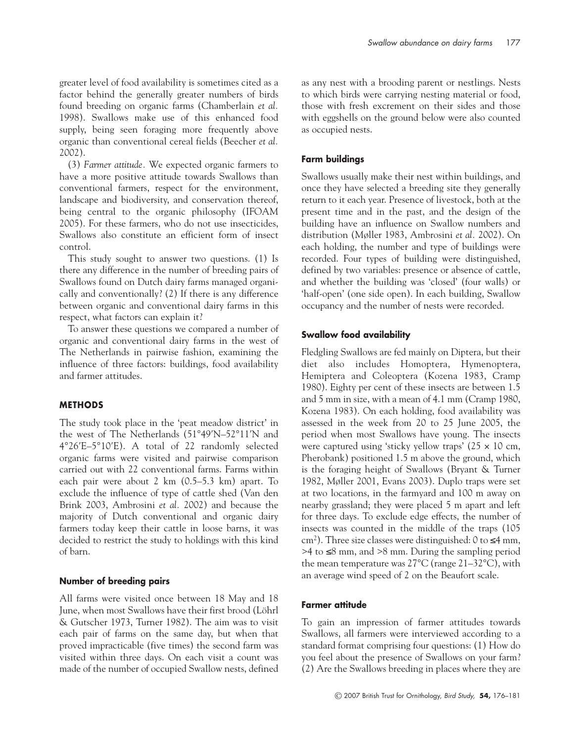greater level of food availability is sometimes cited as a factor behind the generally greater numbers of birds found breeding on organic farms (Chamberlain *et al.* 1998). Swallows make use of this enhanced food supply, being seen foraging more frequently above organic than conventional cereal fields (Beecher *et al.* 2002).

(3) *Farmer attitude.* We expected organic farmers to have a more positive attitude towards Swallows than conventional farmers, respect for the environment, landscape and biodiversity, and conservation thereof, being central to the organic philosophy (IFOAM 2005). For these farmers, who do not use insecticides, Swallows also constitute an efficient form of insect control.

This study sought to answer two questions. (1) Is there any difference in the number of breeding pairs of Swallows found on Dutch dairy farms managed organically and conventionally? (2) If there is any difference between organic and conventional dairy farms in this respect, what factors can explain it?

To answer these questions we compared a number of organic and conventional dairy farms in the west of The Netherlands in pairwise fashion, examining the influence of three factors: buildings, food availability and farmer attitudes.

## **METHODS**

The study took place in the 'peat meadow district' in the west of The Netherlands (51°49′N–52°11′N and 4°26′E–5°10′E). A total of 22 randomly selected organic farms were visited and pairwise comparison carried out with 22 conventional farms. Farms within each pair were about 2 km (0.5–5.3 km) apart. To exclude the influence of type of cattle shed (Van den Brink 2003, Ambrosini *et al.* 2002) and because the majority of Dutch conventional and organic dairy farmers today keep their cattle in loose barns, it was decided to restrict the study to holdings with this kind of barn.

#### **Number of breeding pairs**

All farms were visited once between 18 May and 18 June, when most Swallows have their first brood (Löhrl & Gutscher 1973, Turner 1982). The aim was to visit each pair of farms on the same day, but when that proved impracticable (five times) the second farm was visited within three days. On each visit a count was made of the number of occupied Swallow nests, defined as any nest with a brooding parent or nestlings. Nests to which birds were carrying nesting material or food, those with fresh excrement on their sides and those with eggshells on the ground below were also counted as occupied nests.

# **Farm buildings**

Swallows usually make their nest within buildings, and once they have selected a breeding site they generally return to it each year. Presence of livestock, both at the present time and in the past, and the design of the building have an influence on Swallow numbers and distribution (Møller 1983, Ambrosini *et al.* 2002). On each holding, the number and type of buildings were recorded. Four types of building were distinguished, defined by two variables: presence or absence of cattle, and whether the building was 'closed' (four walls) or 'half-open' (one side open). In each building, Swallow occupancy and the number of nests were recorded.

#### **Swallow food availability**

Fledgling Swallows are fed mainly on Diptera, but their diet also includes Homoptera, Hymenoptera, Hemiptera and Coleoptera (Kozena 1983, Cramp 1980). Eighty per cent of these insects are between 1.5 and 5 mm in size, with a mean of 4.1 mm (Cramp 1980, Kozena 1983). On each holding, food availability was assessed in the week from 20 to 25 June 2005, the period when most Swallows have young. The insects were captured using 'sticky yellow traps'  $(25 \times 10 \text{ cm},$ Pherobank) positioned 1.5 m above the ground, which is the foraging height of Swallows (Bryant & Turner 1982, Møller 2001, Evans 2003). Duplo traps were set at two locations, in the farmyard and 100 m away on nearby grassland; they were placed 5 m apart and left for three days. To exclude edge effects, the number of insects was counted in the middle of the traps (105 cm<sup>2</sup>). Three size classes were distinguished: 0 to  $\leq 4$  mm, >4 to ≤8 mm, and >8 mm. During the sampling period the mean temperature was 27°C (range 21–32°C), with an average wind speed of 2 on the Beaufort scale.

## **Farmer attitude**

To gain an impression of farmer attitudes towards Swallows, all farmers were interviewed according to a standard format comprising four questions: (1) How do you feel about the presence of Swallows on your farm? (2) Are the Swallows breeding in places where they are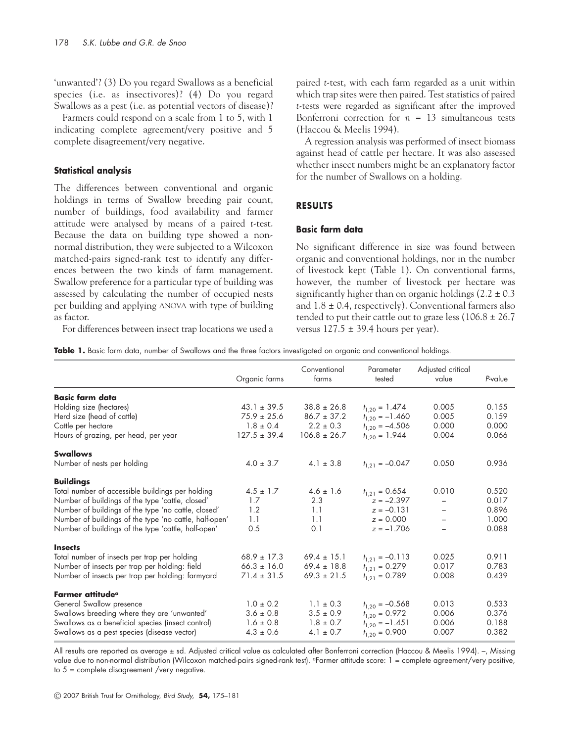'unwanted'? (3) Do you regard Swallows as a beneficial species (i.e. as insectivores)? (4) Do you regard Swallows as a pest (i.e. as potential vectors of disease)?

Farmers could respond on a scale from 1 to 5, with 1 indicating complete agreement/very positive and 5 complete disagreement/very negative.

#### **Statistical analysis**

The differences between conventional and organic holdings in terms of Swallow breeding pair count, number of buildings, food availability and farmer attitude were analysed by means of a paired *t*-test. Because the data on building type showed a nonnormal distribution, they were subjected to a Wilcoxon matched-pairs signed-rank test to identify any differences between the two kinds of farm management. Swallow preference for a particular type of building was assessed by calculating the number of occupied nests per building and applying ANOVA with type of building as factor.

For differences between insect trap locations we used a

paired *t*-test, with each farm regarded as a unit within which trap sites were then paired. Test statistics of paired *t*-tests were regarded as significant after the improved Bonferroni correction for  $n = 13$  simultaneous tests (Haccou & Meelis 1994).

A regression analysis was performed of insect biomass against head of cattle per hectare. It was also assessed whether insect numbers might be an explanatory factor for the number of Swallows on a holding.

# **RESULTS**

## **Basic farm data**

No significant difference in size was found between organic and conventional holdings, nor in the number of livestock kept (Table 1). On conventional farms, however, the number of livestock per hectare was significantly higher than on organic holdings  $(2.2 \pm 0.3)$ and  $1.8 \pm 0.4$ , respectively). Conventional farmers also tended to put their cattle out to graze less  $(106.8 \pm 26.7)$ versus  $127.5 \pm 39.4$  hours per year).

**Table 1.** Basic farm data, number of Swallows and the three factors investigated on organic and conventional holdings.

|                                                        | Organic farms    | Conventional<br>farms | Parameter<br>tested | Adjusted critical<br>value | P-value |
|--------------------------------------------------------|------------------|-----------------------|---------------------|----------------------------|---------|
| <b>Basic farm data</b>                                 |                  |                       |                     |                            |         |
| Holding size (hectares)                                | $43.1 \pm 39.5$  | $38.8 \pm 26.8$       | $t_{1,20} = 1.474$  | 0.005                      | 0.155   |
| Herd size (head of cattle)                             | $75.9 \pm 25.6$  | $86.7 \pm 37.2$       | $t_{1,20} = -1.460$ | 0.005                      | 0.159   |
| Cattle per hectare                                     | $1.8 \pm 0.4$    | $2.2 \pm 0.3$         | $t_{1,20} = -4.506$ | 0.000                      | 0.000   |
| Hours of grazing, per head, per year                   | $127.5 \pm 39.4$ | $106.8 \pm 26.7$      | $t_{1,20} = 1.944$  | 0.004                      | 0.066   |
| <b>Swallows</b>                                        |                  |                       |                     |                            |         |
| Number of nests per holding                            | $4.0 \pm 3.7$    | $4.1 \pm 3.8$         | $t_{1,21} = -0.047$ | 0.050                      | 0.936   |
| <b>Buildings</b>                                       |                  |                       |                     |                            |         |
| Total number of accessible buildings per holding       | $4.5 \pm 1.7$    | $4.6 \pm 1.6$         | $t_{1,21} = 0.654$  | 0.010                      | 0.520   |
| Number of buildings of the type 'cattle, closed'       | 1.7              | 2.3                   | $z = -2.397$        | $\overline{\phantom{0}}$   | 0.017   |
| Number of buildings of the type 'no cattle, closed'    | 1.2              | 1.1                   | $z = -0.131$        | $\qquad \qquad -$          | 0.896   |
| Number of buildings of the type 'no cattle, half-open' | 1.1              | 1.1                   | $z = 0.000$         | L.                         | 1.000   |
| Number of buildings of the type 'cattle, half-open'    | 0.5              | 0.1                   | $z = -1.706$        |                            | 0.088   |
| <b>Insects</b>                                         |                  |                       |                     |                            |         |
| Total number of insects per trap per holding           | $68.9 \pm 17.3$  | $69.4 \pm 15.1$       | $t_{1,21} = -0.113$ | 0.025                      | 0.911   |
| Number of insects per trap per holding: field          | $66.3 \pm 16.0$  | $69.4 \pm 18.8$       | $t_{1,21} = 0.279$  | 0.017                      | 0.783   |
| Number of insects per trap per holding: farmyard       | $71.4 \pm 31.5$  | $69.3 \pm 21.5$       | $t_{1,21} = 0.789$  | 0.008                      | 0.439   |
| Farmer attitude <sup>a</sup>                           |                  |                       |                     |                            |         |
| General Swallow presence                               | $1.0 \pm 0.2$    | $1.1 \pm 0.3$         | $t_{1,20} = -0.568$ | 0.013                      | 0.533   |
| Swallows breeding where they are 'unwanted'            | $3.6 \pm 0.8$    | $3.5 \pm 0.9$         | $t_{1,20} = 0.972$  | 0.006                      | 0.376   |
| Swallows as a beneficial species (insect control)      | $1.6 \pm 0.8$    | $1.8 \pm 0.7$         | $t_{1,20} = -1.451$ | 0.006                      | 0.188   |
| Swallows as a pest species (disease vector)            | $4.3 \pm 0.6$    | $4.1 \pm 0.7$         | $t_{1,20} = 0.900$  | 0.007                      | 0.382   |

All results are reported as average ± sd. Adjusted critical value as calculated after Bonferroni correction (Haccou & Meelis 1994). –, Missing value due to non-normal distribution (Wilcoxon matched-pairs signed-rank test). <sup>a</sup>Farmer attitude score: 1 = complete agreement/very positive, to  $5$  = complete disagreement /very negative.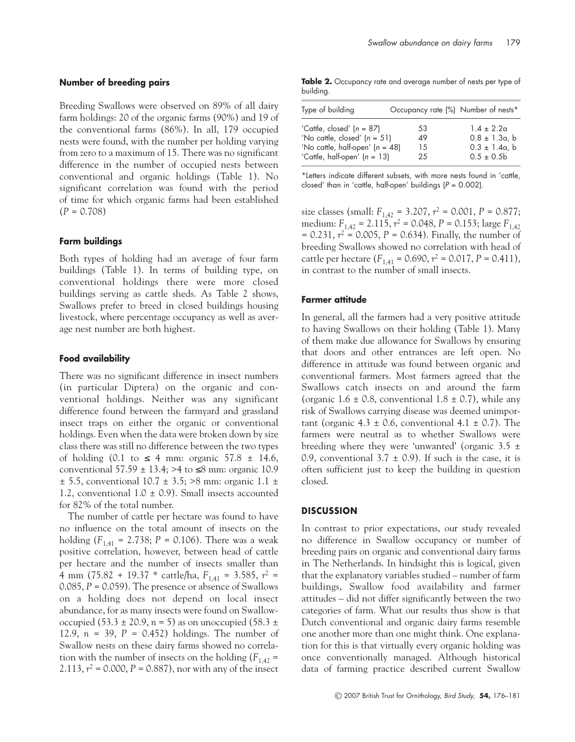# **Number of breeding pairs**

Breeding Swallows were observed on 89% of all dairy farm holdings: 20 of the organic farms (90%) and 19 of the conventional farms (86%). In all, 179 occupied nests were found, with the number per holding varying from zero to a maximum of 15. There was no significant difference in the number of occupied nests between conventional and organic holdings (Table 1). No significant correlation was found with the period of time for which organic farms had been established (*P* = 0.708)

## **Farm buildings**

Both types of holding had an average of four farm buildings (Table 1). In terms of building type, on conventional holdings there were more closed buildings serving as cattle sheds. As Table 2 shows, Swallows prefer to breed in closed buildings housing livestock, where percentage occupancy as well as average nest number are both highest.

## **Food availability**

There was no significant difference in insect numbers (in particular Diptera) on the organic and conventional holdings. Neither was any significant difference found between the farmyard and grassland insect traps on either the organic or conventional holdings. Even when the data were broken down by size class there was still no difference between the two types of holding (0.1 to  $\leq$  4 mm: organic 57.8  $\pm$  14.6, conventional  $57.59 \pm 13.4$ ; >4 to  $\leq 8$  mm: organic 10.9  $\pm$  5.5, conventional 10.7  $\pm$  3.5; >8 mm: organic 1.1  $\pm$ 1.2, conventional  $1.0 \pm 0.9$ ). Small insects accounted for 82% of the total number.

The number of cattle per hectare was found to have no influence on the total amount of insects on the holding  $(F_{1,41} = 2.738; P = 0.106)$ . There was a weak positive correlation, however, between head of cattle per hectare and the number of insects smaller than 4 mm (75.82 + 19.37 \* cattle/ha, *F*1,41 = 3.585, *r*<sup>2</sup> = 0.085, *P* = 0.059). The presence or absence of Swallows on a holding does not depend on local insect abundance, for as many insects were found on Swallowoccupied (53.3  $\pm$  20.9, *n* = 5) as on unoccupied (58.3  $\pm$ 12.9, *n* = 39, *P* = 0.452) holdings. The number of Swallow nests on these dairy farms showed no correlation with the number of insects on the holding  $(F_{1,42} =$ 2.113,  $r^2 = 0.000$ ,  $P = 0.887$ ), nor with any of the insect

**Table 2.** Occupancy rate and average number of nests per type of building.

| Type of building                  | Occupancy rate (%) Number of nests* |                    |
|-----------------------------------|-------------------------------------|--------------------|
| 'Cattle, closed' $(n = 87)$       | 53                                  | $1.4 \pm 2.2a$     |
| 'No cattle, closed' $(n = 51)$    | 49                                  | $0.8 \pm 1.3a$ , b |
| 'No cattle, half-open' $(n = 48)$ | 15                                  | $0.3 \pm 1.4a$ , b |
| 'Cattle, half-open' $(n = 13)$    | 25                                  | $0.5 \pm 0.5$      |

\*Letters indicate different subsets, with more nests found in 'cattle, closed' than in 'cattle, half-open' buildings  $(P = 0.002)$ .

size classes (small:  $F_{1,42} = 3.207$ ,  $r^2 = 0.001$ ,  $P = 0.877$ ; medium: *F*1,42 = 2.115, *r*<sup>2</sup> = 0.048, *P* = 0.153; large *F*1,42  $= 0.231, r^2 = 0.005, P = 0.634$ . Finally, the number of breeding Swallows showed no correlation with head of cattle per hectare  $(F_{1,41} = 0.690, r^2 = 0.017, P = 0.411)$ , in contrast to the number of small insects.

## **Farmer attitude**

In general, all the farmers had a very positive attitude to having Swallows on their holding (Table 1). Many of them make due allowance for Swallows by ensuring that doors and other entrances are left open. No difference in attitude was found between organic and conventional farmers. Most farmers agreed that the Swallows catch insects on and around the farm (organic  $1.6 \pm 0.8$ , conventional  $1.8 \pm 0.7$ ), while any risk of Swallows carrying disease was deemed unimportant (organic  $4.3 \pm 0.6$ , conventional  $4.1 \pm 0.7$ ). The farmers were neutral as to whether Swallows were breeding where they were 'unwanted' (organic 3.5 ± 0.9, conventional  $3.7 \pm 0.9$ ). If such is the case, it is often sufficient just to keep the building in question closed.

#### **DISCUSSION**

In contrast to prior expectations, our study revealed no difference in Swallow occupancy or number of breeding pairs on organic and conventional dairy farms in The Netherlands. In hindsight this is logical, given that the explanatory variables studied – number of farm buildings, Swallow food availability and farmer attitudes – did not differ significantly between the two categories of farm. What our results thus show is that Dutch conventional and organic dairy farms resemble one another more than one might think. One explanation for this is that virtually every organic holding was once conventionally managed. Although historical data of farming practice described current Swallow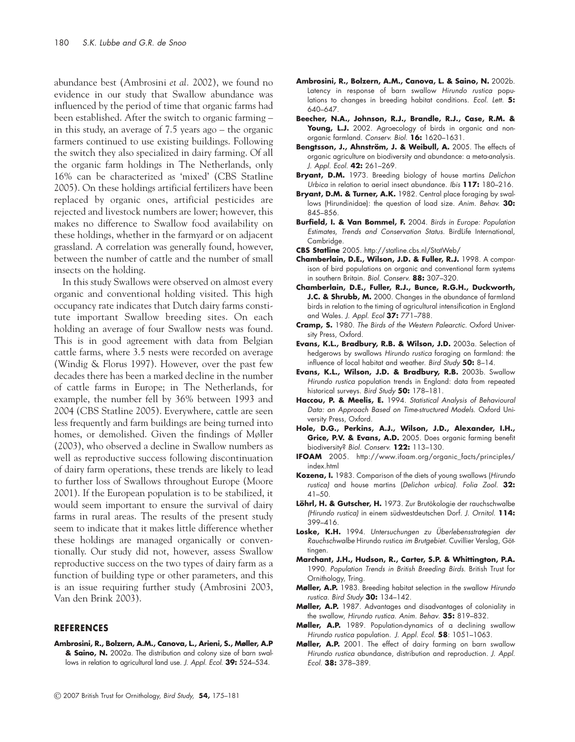abundance best (Ambrosini *et al.* 2002), we found no evidence in our study that Swallow abundance was influenced by the period of time that organic farms had been established. After the switch to organic farming – in this study, an average of 7.5 years ago – the organic farmers continued to use existing buildings. Following the switch they also specialized in dairy farming. Of all the organic farm holdings in The Netherlands, only 16% can be characterized as 'mixed' (CBS Statline 2005). On these holdings artificial fertilizers have been replaced by organic ones, artificial pesticides are rejected and livestock numbers are lower; however, this makes no difference to Swallow food availability on these holdings, whether in the farmyard or on adjacent grassland. A correlation was generally found, however, between the number of cattle and the number of small insects on the holding.

In this study Swallows were observed on almost every organic and conventional holding visited. This high occupancy rate indicates that Dutch dairy farms constitute important Swallow breeding sites. On each holding an average of four Swallow nests was found. This is in good agreement with data from Belgian cattle farms, where 3.5 nests were recorded on average (Windig & Florus 1997). However, over the past few decades there has been a marked decline in the number of cattle farms in Europe; in The Netherlands, for example, the number fell by 36% between 1993 and 2004 (CBS Statline 2005). Everywhere, cattle are seen less frequently and farm buildings are being turned into homes, or demolished. Given the findings of Møller (2003), who observed a decline in Swallow numbers as well as reproductive success following discontinuation of dairy farm operations, these trends are likely to lead to further loss of Swallows throughout Europe (Moore 2001). If the European population is to be stabilized, it would seem important to ensure the survival of dairy farms in rural areas. The results of the present study seem to indicate that it makes little difference whether these holdings are managed organically or conventionally. Our study did not, however, assess Swallow reproductive success on the two types of dairy farm as a function of building type or other parameters, and this is an issue requiring further study (Ambrosini 2003, Van den Brink 2003).

#### **REFERENCES**

**Ambrosini, R., Bolzern, A.M., Canova, L., Arieni, S., Møller, A.P & Saino, N.** 2002a. The distribution and colony size of barn swallows in relation to agricultural land use. J. Appl. Ecol. **39:** 524–534.

- **Ambrosini, R., Bolzern, A.M., Canova, L. & Saino, N.** 2002b. Latency in response of barn swallow Hirundo rustica populations to changes in breeding habitat conditions. Ecol. Lett. **5:** 640–647.
- **Beecher, N.A., Johnson, R.J., Brandle, R.J., Case, R.M. &** Young, L.J. 2002. Agroecology of birds in organic and nonorganic farmland. Conserv. Biol. **16:** 1620–1631.
- Bengtsson, J., Ahnström, J. & Weibull, A. 2005. The effects of organic agriculture on biodiversity and abundance: a meta-analysis. J. Appl. Ecol. **42:** 261–269.
- **Bryant, D.M.** 1973. Breeding biology of house martins Delichon Urbica in relation to aerial insect abundance. Ibis **117:** 180–216.
- **Bryant, D.M. & Turner, A.K.** 1982. Central place foraging by swallows (Hirundinidae): the question of load size. Anim. Behav. **30:** 845–856.
- **Burfield, I. & Van Bommel, F.** 2004. Birds in Europe: Population Estimates, Trends and Conservation Status. BirdLife International, Cambridge.
- **CBS Statline** 2005. http://statline.cbs.nl/StatWeb/
- **Chamberlain, D.E., Wilson, J.D. & Fuller, R.J.** 1998. A comparison of bird populations on organic and conventional farm systems in southern Britain. Biol. Conserv. **88:** 307–320.
- **Chamberlain, D.E., Fuller, R.J., Bunce, R.G.H., Duckworth,** J.C. & Shrubb, M. 2000. Changes in the abundance of farmland birds in relation to the timing of agricultural intensification in England and Wales. J. Appl. Ecol **37:** 771–788.
- **Cramp, S.** 1980. The Birds of the Western Palearctic. Oxford University Press, Oxford.
- **Evans, K.L., Bradbury, R.B. & Wilson, J.D.** 2003a. Selection of hedgerows by swallows Hirundo rustica foraging on farmland: the influence of local habitat and weather. Bird Study **50:** 8–14.
- **Evans, K.L., Wilson, J.D. & Bradbury, R.B.** 2003b. Swallow Hirundo rustica population trends in England: data from repeated historical surveys. Bird Study **50:** 178–181.
- Haccou, P. & Meelis, E. 1994. Statistical Analysis of Behavioural Data: an Approach Based on Time-structured Models. Oxford University Press, Oxford.
- **Hole, D.G., Perkins, A.J., Wilson, J.D., Alexander, I.H., Grice, P.V. & Evans, A.D.** 2005. Does organic farming benefit biodiversity? Biol. Conserv. **122:** 113–130.
- **IFOAM** 2005. http://www.ifoam.org/organic\_facts/principles/ index.html
- **Kozena, I.** 1983. Comparison of the diets of young swallows (Hirundo rustica) and house martins (Delichon urbica). Folia Zool. **32:** 41–50.
- **Löhrl, H. & Gutscher, H.** 1973. Zur Brutökologie der rauchschwalbe (Hirundo rustica) in einem südwestdeutschen Dorf. J. Ornitol. **114:** 399–416.
- Loske, K.H. 1994. Untersuchungen zu Überlebensstrategien der Rauchschwalbe Hirundo rustica im Brutgebiet. Cuvillier Verslag, Göttingen.
- **Marchant, J.H., Hudson, R., Carter, S.P. & Whittington, P.A.** 1990. Population Trends in British Breeding Birds. British Trust for Ornithology, Tring.
- **Møller, A.P.** 1983. Breeding habitat selection in the swallow Hirundo rustica. Bird Study **30:** 134–142.
- **Møller, A.P.** 1987. Advantages and disadvantages of coloniality in the swallow, Hirundo rustica. Anim. Behav. **35:** 819–832.
- **Møller, A.P.** 1989. Population-dynamics of a declining swallow Hirundo rustica population. J. Appl. Ecol. **58**: 1051–1063.
- **Møller, A.P.** 2001. The effect of dairy farming on barn swallow Hirundo rustica abundance, distribution and reproduction. J. Appl. Ecol. **38:** 378–389.